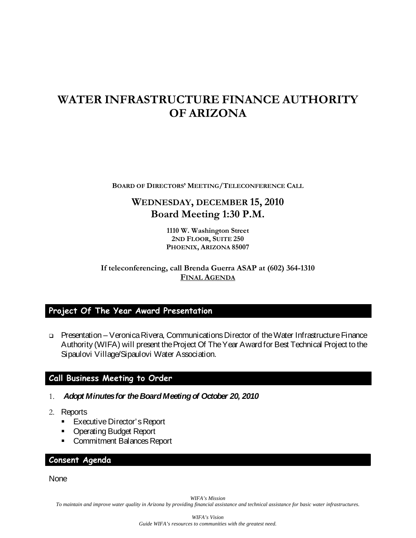# **WATER INFRASTRUCTURE FINANCE AUTHORITY OF ARIZONA**

**BOARD OF DIRECTORS' MEETING/TELECONFERENCE CALL**

# **WEDNESDAY, DECEMBER 15, 2010 Board Meeting 1:30 P.M.**

**1110 W. Washington Street 2ND FLOOR, SUITE 250 PHOENIX, ARIZONA 85007**

**If teleconferencing, call Brenda Guerra ASAP at (602) 364-1310 FINAL AGENDA**

## **Project Of The Year Award Presentation**

 Presentation – Veronica Rivera, CommunicationsDirector of the Water Infrastructure Finance Authority (WIFA) will present the Project Of The Year Award for Best Technical Project to the Sipaulovi Village/Sipaulovi Water Association.

## **Call Business Meeting to Order**

- 1. *Adopt Minutes for the Board Meeting of October 20, 2010*
- 2. Reports
	- **Executive Director's Report**
	- **Operating Budget Report**
	- Commitment Balances Report

#### **Consent Agenda**

None

*WIFA's Mission*

*To maintain and improve water quality in Arizona by providing financial assistance and technical assistance for basic water infrastructures.*